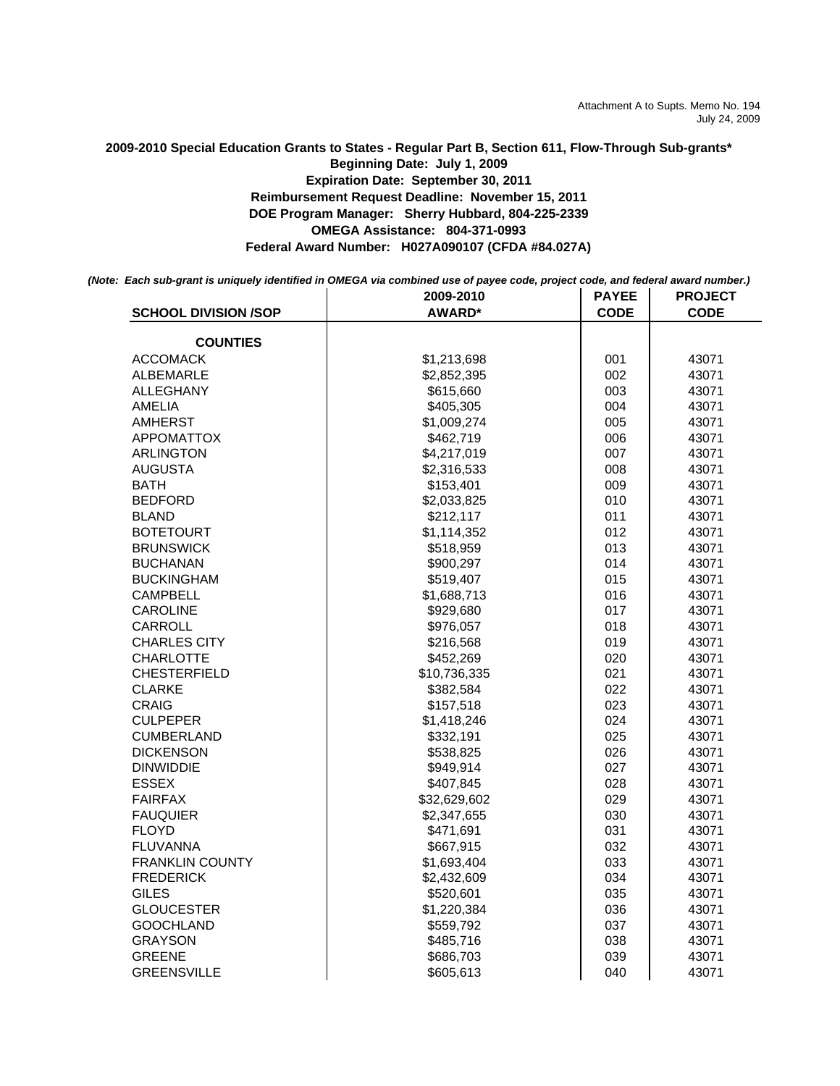**2009-2010 Special Education Grants to States - Regular Part B, Section 611, Flow-Through Sub-grants\* OMEGA Assistance: 804-371-0993 Federal Award Number: H027A090107 (CFDA #84.027A) Beginning Date: July 1, 2009 Expiration Date: September 30, 2011 Reimbursement Request Deadline: November 15, 2011 DOE Program Manager: Sherry Hubbard, 804-225-2339**

*(Note: Each sub-grant is uniquely identified in OMEGA via combined use of payee code, project code, and federal award number.)*

|                             | 2009-2010     | <b>PAYEE</b> | <b>PROJECT</b> |
|-----------------------------|---------------|--------------|----------------|
| <b>SCHOOL DIVISION /SOP</b> | <b>AWARD*</b> | <b>CODE</b>  | <b>CODE</b>    |
| <b>COUNTIES</b>             |               |              |                |
| ACCOMACK                    | \$1,213,698   | 001          | 43071          |
| ALBEMARLE                   | \$2,852,395   | 002          | 43071          |
| <b>ALLEGHANY</b>            | \$615,660     | 003          | 43071          |
| AMELIA                      | \$405,305     | 004          | 43071          |
| AMHERST                     | \$1,009,274   | 005          | 43071          |
| <b>APPOMATTOX</b>           | \$462,719     | 006          | 43071          |
| ARLINGTON                   | \$4,217,019   | 007          | 43071          |
| <b>AUGUSTA</b>              | \$2,316,533   | 008          | 43071          |
| BATH                        | \$153,401     | 009          | 43071          |
| <b>BEDFORD</b>              | \$2,033,825   | 010          | 43071          |
| <b>BLAND</b>                | \$212,117     | 011          | 43071          |
| <b>BOTETOURT</b>            | \$1,114,352   | 012          | 43071          |
| <b>BRUNSWICK</b>            | \$518,959     | 013          | 43071          |
| <b>BUCHANAN</b>             | \$900,297     | 014          | 43071          |
| <b>BUCKINGHAM</b>           | \$519,407     | 015          | 43071          |
| <b>CAMPBELL</b>             | \$1,688,713   | 016          | 43071          |
| CAROLINE                    | \$929,680     | 017          | 43071          |
| CARROLL                     | \$976,057     | 018          | 43071          |
| <b>CHARLES CITY</b>         | \$216,568     | 019          | 43071          |
| <b>CHARLOTTE</b>            | \$452,269     | 020          | 43071          |
| <b>CHESTERFIELD</b>         | \$10,736,335  | 021          | 43071          |
| CLARKE                      | \$382,584     | 022          | 43071          |
| CRAIG                       | \$157,518     | 023          | 43071          |
| <b>CULPEPER</b>             | \$1,418,246   | 024          | 43071          |
| <b>CUMBERLAND</b>           | \$332,191     | 025          | 43071          |
| <b>DICKENSON</b>            | \$538,825     | 026          | 43071          |
| <b>DINWIDDIE</b>            | \$949,914     | 027          | 43071          |
| <b>ESSEX</b>                | \$407,845     | 028          | 43071          |
| <b>FAIRFAX</b>              | \$32,629,602  | 029          | 43071          |
| <b>FAUQUIER</b>             | \$2,347,655   | 030          | 43071          |
| <b>FLOYD</b>                | \$471,691     | 031          | 43071          |
| <b>FLUVANNA</b>             | \$667,915     | 032          | 43071          |
| <b>FRANKLIN COUNTY</b>      | \$1,693,404   | 033          | 43071          |
| <b>FREDERICK</b>            | \$2,432,609   | 034          | 43071          |
| <b>GILES</b>                | \$520,601     | 035          | 43071          |
| <b>GLOUCESTER</b>           | \$1,220,384   | 036          | 43071          |
| <b>GOOCHLAND</b>            | \$559,792     | 037          | 43071          |
| GRAYSON                     | \$485,716     | 038          | 43071          |
| <b>GREENE</b>               | \$686,703     | 039          | 43071          |
| <b>GREENSVILLE</b>          | \$605,613     | 040          | 43071          |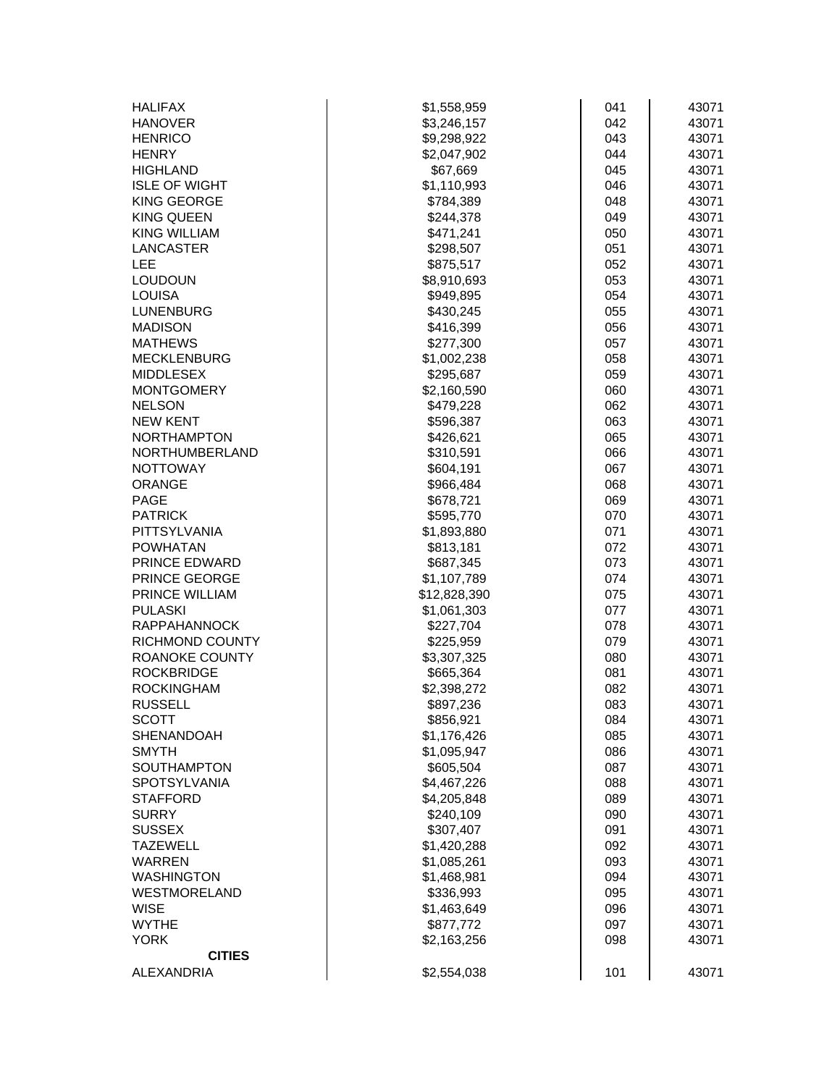| <b>HALIFAX</b>         | \$1,558,959  | 041 | 43071 |
|------------------------|--------------|-----|-------|
| <b>HANOVER</b>         | \$3,246,157  | 042 | 43071 |
| <b>HENRICO</b>         | \$9,298,922  | 043 | 43071 |
| <b>HENRY</b>           | \$2,047,902  | 044 | 43071 |
| <b>HIGHLAND</b>        | \$67,669     | 045 | 43071 |
| <b>ISLE OF WIGHT</b>   | \$1,110,993  | 046 | 43071 |
| <b>KING GEORGE</b>     | \$784,389    | 048 | 43071 |
| <b>KING QUEEN</b>      | \$244,378    | 049 | 43071 |
| <b>KING WILLIAM</b>    | \$471,241    | 050 | 43071 |
| <b>LANCASTER</b>       | \$298,507    | 051 | 43071 |
| <b>LEE</b>             | \$875,517    | 052 | 43071 |
| <b>LOUDOUN</b>         | \$8,910,693  | 053 | 43071 |
| <b>LOUISA</b>          | \$949,895    | 054 | 43071 |
| <b>LUNENBURG</b>       | \$430,245    | 055 | 43071 |
| <b>MADISON</b>         | \$416,399    | 056 | 43071 |
| <b>MATHEWS</b>         | \$277,300    | 057 | 43071 |
| <b>MECKLENBURG</b>     | \$1,002,238  | 058 | 43071 |
| <b>MIDDLESEX</b>       | \$295,687    | 059 | 43071 |
| <b>MONTGOMERY</b>      | \$2,160,590  | 060 | 43071 |
| <b>NELSON</b>          | \$479,228    | 062 | 43071 |
| <b>NEW KENT</b>        | \$596,387    | 063 | 43071 |
| <b>NORTHAMPTON</b>     | \$426,621    | 065 | 43071 |
| NORTHUMBERLAND         | \$310,591    | 066 | 43071 |
| <b>NOTTOWAY</b>        | \$604,191    | 067 | 43071 |
| <b>ORANGE</b>          | \$966,484    | 068 | 43071 |
| <b>PAGE</b>            | \$678,721    | 069 | 43071 |
| <b>PATRICK</b>         | \$595,770    | 070 | 43071 |
| PITTSYLVANIA           | \$1,893,880  | 071 | 43071 |
| <b>POWHATAN</b>        | \$813,181    | 072 | 43071 |
| PRINCE EDWARD          | \$687,345    | 073 | 43071 |
| PRINCE GEORGE          | \$1,107,789  | 074 | 43071 |
| PRINCE WILLIAM         | \$12,828,390 | 075 | 43071 |
| <b>PULASKI</b>         | \$1,061,303  | 077 | 43071 |
| <b>RAPPAHANNOCK</b>    | \$227,704    | 078 | 43071 |
| <b>RICHMOND COUNTY</b> | \$225,959    | 079 | 43071 |
| ROANOKE COUNTY         | \$3,307,325  | 080 | 43071 |
| <b>ROCKBRIDGE</b>      | \$665,364    | 081 | 43071 |
| <b>ROCKINGHAM</b>      | \$2,398,272  | 082 | 43071 |
| <b>RUSSELL</b>         | \$897,236    | 083 | 43071 |
| <b>SCOTT</b>           | \$856,921    | 084 | 43071 |
| <b>SHENANDOAH</b>      | \$1,176,426  | 085 | 43071 |
| <b>SMYTH</b>           | \$1,095,947  | 086 | 43071 |
| <b>SOUTHAMPTON</b>     | \$605,504    | 087 | 43071 |
| SPOTSYLVANIA           | \$4,467,226  | 088 | 43071 |
| <b>STAFFORD</b>        | \$4,205,848  | 089 | 43071 |
| <b>SURRY</b>           | \$240,109    | 090 | 43071 |
| <b>SUSSEX</b>          | \$307,407    | 091 | 43071 |
| <b>TAZEWELL</b>        | \$1,420,288  | 092 | 43071 |
| <b>WARREN</b>          | \$1,085,261  | 093 | 43071 |
| <b>WASHINGTON</b>      | \$1,468,981  | 094 | 43071 |
| WESTMORELAND           | \$336,993    | 095 | 43071 |
| <b>WISE</b>            | \$1,463,649  | 096 | 43071 |
| <b>WYTHE</b>           | \$877,772    | 097 | 43071 |
| <b>YORK</b>            | \$2,163,256  | 098 | 43071 |
| <b>CITIES</b>          |              |     |       |
| ALEXANDRIA             | \$2,554,038  | 101 | 43071 |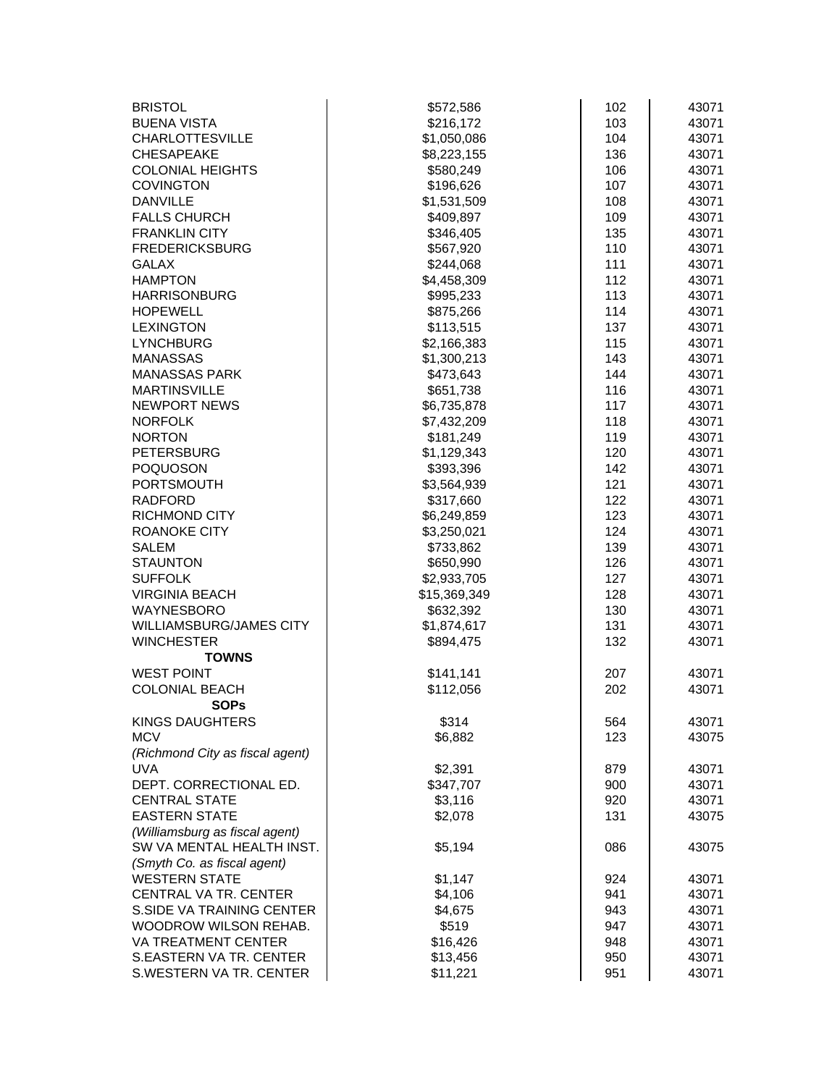| <b>BRISTOL</b>                  | \$572,586    | 102 | 43071 |
|---------------------------------|--------------|-----|-------|
| <b>BUENA VISTA</b>              | \$216,172    | 103 | 43071 |
| <b>CHARLOTTESVILLE</b>          | \$1,050,086  | 104 | 43071 |
| <b>CHESAPEAKE</b>               | \$8,223,155  | 136 | 43071 |
| <b>COLONIAL HEIGHTS</b>         | \$580,249    | 106 | 43071 |
| <b>COVINGTON</b>                | \$196,626    | 107 | 43071 |
| <b>DANVILLE</b>                 | \$1,531,509  | 108 | 43071 |
| <b>FALLS CHURCH</b>             | \$409,897    | 109 | 43071 |
| <b>FRANKLIN CITY</b>            | \$346,405    | 135 | 43071 |
| <b>FREDERICKSBURG</b>           | \$567,920    | 110 | 43071 |
| <b>GALAX</b>                    | \$244,068    | 111 | 43071 |
| <b>HAMPTON</b>                  | \$4,458,309  | 112 | 43071 |
| <b>HARRISONBURG</b>             | \$995,233    | 113 | 43071 |
| <b>HOPEWELL</b>                 | \$875,266    | 114 | 43071 |
| <b>LEXINGTON</b>                | \$113,515    | 137 | 43071 |
| <b>LYNCHBURG</b>                | \$2,166,383  | 115 | 43071 |
| <b>MANASSAS</b>                 | \$1,300,213  | 143 | 43071 |
| <b>MANASSAS PARK</b>            | \$473,643    | 144 | 43071 |
| <b>MARTINSVILLE</b>             | \$651,738    | 116 | 43071 |
| <b>NEWPORT NEWS</b>             | \$6,735,878  | 117 | 43071 |
| <b>NORFOLK</b>                  | \$7,432,209  | 118 | 43071 |
| <b>NORTON</b>                   | \$181,249    | 119 | 43071 |
| <b>PETERSBURG</b>               | \$1,129,343  | 120 | 43071 |
| <b>POQUOSON</b>                 | \$393,396    | 142 | 43071 |
| <b>PORTSMOUTH</b>               | \$3,564,939  | 121 | 43071 |
| <b>RADFORD</b>                  | \$317,660    | 122 | 43071 |
| <b>RICHMOND CITY</b>            | \$6,249,859  | 123 | 43071 |
| ROANOKE CITY                    | \$3,250,021  | 124 | 43071 |
| <b>SALEM</b>                    | \$733,862    | 139 | 43071 |
| <b>STAUNTON</b>                 | \$650,990    | 126 | 43071 |
| <b>SUFFOLK</b>                  | \$2,933,705  | 127 | 43071 |
| <b>VIRGINIA BEACH</b>           | \$15,369,349 | 128 | 43071 |
| <b>WAYNESBORO</b>               | \$632,392    | 130 | 43071 |
| <b>WILLIAMSBURG/JAMES CITY</b>  | \$1,874,617  | 131 | 43071 |
| <b>WINCHESTER</b>               | \$894,475    | 132 | 43071 |
| <b>TOWNS</b>                    |              |     |       |
| <b>WEST POINT</b>               | \$141,141    | 207 | 43071 |
| <b>COLONIAL BEACH</b>           | \$112,056    | 202 | 43071 |
| <b>SOPs</b>                     |              |     |       |
| <b>KINGS DAUGHTERS</b>          | \$314        | 564 | 43071 |
| <b>MCV</b>                      | \$6,882      | 123 | 43075 |
| (Richmond City as fiscal agent) |              |     |       |
| <b>UVA</b>                      | \$2,391      | 879 | 43071 |
| DEPT. CORRECTIONAL ED.          | \$347,707    | 900 | 43071 |
| <b>CENTRAL STATE</b>            | \$3,116      | 920 | 43071 |
| <b>EASTERN STATE</b>            | \$2,078      | 131 | 43075 |
| (Williamsburg as fiscal agent)  |              |     |       |
| SW VA MENTAL HEALTH INST.       | \$5,194      | 086 | 43075 |
| (Smyth Co. as fiscal agent)     |              |     |       |
| <b>WESTERN STATE</b>            | \$1,147      | 924 | 43071 |
| CENTRAL VA TR. CENTER           | \$4,106      | 941 | 43071 |
| S.SIDE VA TRAINING CENTER       | \$4,675      | 943 | 43071 |
| WOODROW WILSON REHAB.           | \$519        | 947 | 43071 |
| VA TREATMENT CENTER             | \$16,426     | 948 | 43071 |
| S.EASTERN VA TR. CENTER         | \$13,456     | 950 | 43071 |
| S.WESTERN VA TR. CENTER         | \$11,221     | 951 | 43071 |